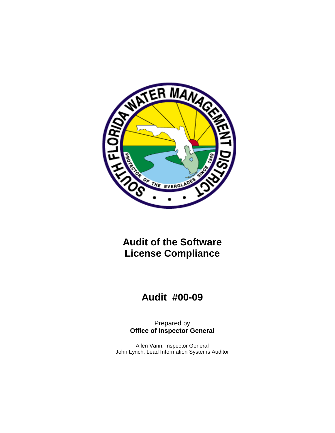

## **Audit of the Software License Compliance**

# **Audit #00-09**

Prepared by **Office of Inspector General**

Allen Vann, Inspector General John Lynch, Lead Information Systems Auditor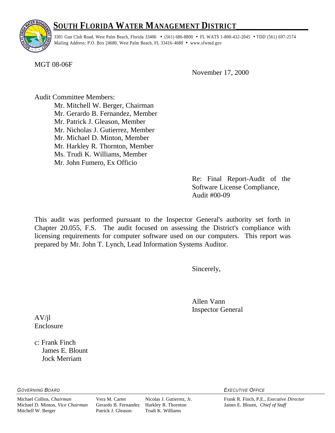## **<sup>S</sup>OUTH <sup>F</sup>LORIDA WATER <sup>M</sup>ANAGEMENT <sup>D</sup>ISTRICT\_\_\_\_\_\_\_\_\_\_\_\_\_\_\_\_\_\_\_\_**



3301 Gun Club Road, West Palm Beach, Florida 33406 • (561) 686-8800 • FL WATS 1-800-432-2045 • TDD (561) 697-2574 Mailing Address: P.O. Box 24680, West Palm Beach, FL 33416-4680 • www.sfwmd.gov

MGT 08-06F

November 17, 2000

Audit Committee Members: Mr. Mitchell W. Berger, Chairman Mr. Gerardo B. Fernandez, Member Mr. Patrick J. Gleason, Member Mr. Nicholas J. Gutierrez, Member Mr. Michael D. Minton, Member Mr. Harkley R. Thornton, Member Ms. Trudi K. Williams, Member Mr. John Fumero, Ex Officio

> Re: Final Report-Audit of the Software License Compliance, Audit #00-09

This audit was performed pursuant to the Inspector General's authority set forth in Chapter 20.055, F.S. The audit focused on assessing the District's compliance with licensing requirements for computer software used on our computers. This report was prepared by Mr. John T. Lynch, Lead Information Systems Auditor.

Sincerely,

Allen Vann Inspector General

AV/jl Enclosure

c: Frank Finch James E. Blount Jock Merriam

*GOVERNING BOARD EXECUTIVE OFFICE*

Mitchell W. Berger Patrick J. Gleason Trudi K. Williams

Michael Collins, *Chairman* Vera M. Carter Nicolas J. Gutierrez, Jr. Frank R. Finch, P.E., *Executive Director* Gerardo B. Fernandez Harkley R. Thornton James E. Blount, *Chief of Staff*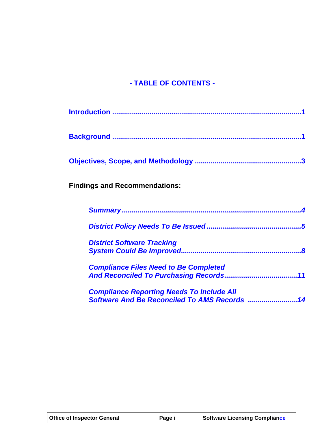## **- TABLE OF CONTENTS -**

| <b>Findings and Recommendations:</b>                                                              |
|---------------------------------------------------------------------------------------------------|
|                                                                                                   |
|                                                                                                   |
| <b>District Software Tracking</b>                                                                 |
| <b>Compliance Files Need to Be Completed</b>                                                      |
| <b>Compliance Reporting Needs To Include All</b><br>Software And Be Reconciled To AMS Records  14 |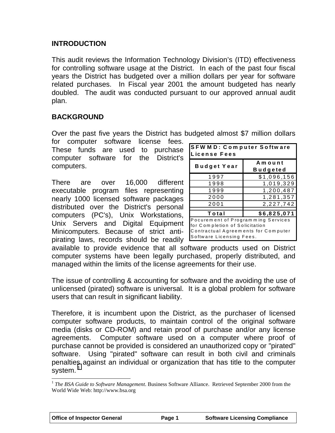#### <span id="page-3-1"></span><span id="page-3-0"></span>**INTRODUCTION**

This audit reviews the Information Technology Division's (ITD) effectiveness for controlling software usage at the District. In each of the past four fiscal years the District has budgeted over a million dollars per year for software related purchases. In Fiscal year 2001 the amount budgeted has nearly doubled. The audit was conducted pursuant to our approved annual audit plan.

## **BACKGROUND**

Over the past five years the District has budgeted almost \$7 million dollars

for computer software license fees. These funds are used to purchase computer software for the District's computers.

There are over 16,000 different executable program files representing nearly 1000 licensed software packages distributed over the District's personal computers (PC's), Unix Workstations, Unix Servers and Digital Equipment Minicomputers. Because of strict antipirating laws, records should be readily

| <b>SFWMD: Computer Software</b><br>License Fees                                                                                         |                    |  |  |  |  |
|-----------------------------------------------------------------------------------------------------------------------------------------|--------------------|--|--|--|--|
|                                                                                                                                         | Amount<br>Budgeted |  |  |  |  |
| <b>Budget Year</b>                                                                                                                      |                    |  |  |  |  |
| 1997                                                                                                                                    | \$1,096,156        |  |  |  |  |
| 1998                                                                                                                                    | 1,019,329          |  |  |  |  |
| 1999                                                                                                                                    | 1,200,487          |  |  |  |  |
| 2000                                                                                                                                    | 1,281,357          |  |  |  |  |
| 2001                                                                                                                                    | 2,227,742          |  |  |  |  |
| Total                                                                                                                                   | \$6,825,071        |  |  |  |  |
| Pocurement of Programming Services<br>for Completion of Solicitation<br>Contractual Agreements for Computer<br>Software Licensing Fees. |                    |  |  |  |  |

available to provide evidence that all software products used on District computer systems have been legally purchased, properly distributed, and managed within the limits of the license agreements for their use.

The issue of controlling & accounting for software and the avoiding the use of unlicensed (pirated) software is universal. It is a global problem for software users that can result in significant liability.

Therefore, it is incumbent upon the District, as the purchaser of licensed computer software products, to maintain control of the original software media (disks or CD-ROM) and retain proof of purchase and/or any license agreements. Computer software used on a computer where proof of purchase cannot be provided is considered an unauthorized copy or "pirated" software. Using "pirated" software can result in both civil and criminals penalties against an individual or organization that has title to the computer system.<sup>1</sup>

 $\overline{a}$ 

<sup>&</sup>lt;sup>1</sup> The BSA Guide to Software Management. Business Software Alliance. Retrieved September 2000 from the World Wide Web: http://www.bsa.org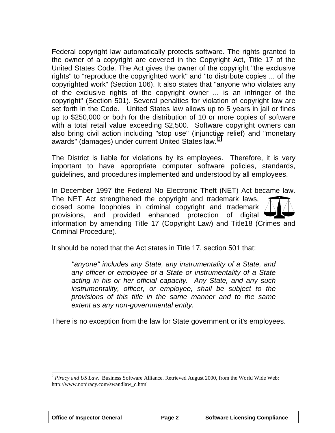Federal copyright law automatically protects software. The rights granted to the owner of a copyright are covered in the Copyright Act, Title 17 of the United States Code. The Act gives the owner of the copyright "the exclusive rights" to "reproduce the copyrighted work" and "to distribute copies ... of the copyrighted work" (Section 106). It also states that "anyone who violates any of the exclusive rights of the copyright owner ... is an infringer of the copyright" (Section 501). Several penalties for violation of copyright law are set forth in the Code. United States law allows up to 5 years in jail or fines up to \$250,000 or both for the distribution of 10 or more copies of software with a total retail value exceeding \$2,500. Software copyright owners can also bring civil action including "stop use" (injunctive relief) and "monetary awards" (damages) under current United States law.<sup>2</sup>

The District is liable for violations by its employees. Therefore, it is very important to have appropriate computer software policies, standards, guidelines, and procedures implemented and understood by all employees.

In December 1997 the Federal No Electronic Theft (NET) Act became law.

The NET Act strengthened the copyright and trademark laws, closed some loopholes in criminal copyright and trademark provisions, and provided enhanced protection of digital



It should be noted that the Act states in Title 17, section 501 that:

*''anyone" includes any State, any instrumentality of a State, and any officer or employee of a State or instrumentality of a State acting in his or her official capacity. Any State, and any such instrumentality, officer, or employee, shall be subject to the provisions of this title in the same manner and to the same extent as any non-governmental entity.*

There is no exception from the law for State government or it's employees.

 $\overline{a}$ 

<sup>2</sup> *Piracy and US Law.* Business Software Alliance. Retrieved August 2000, from the World Wide Web: http://www.nopiracy.com/swandlaw\_c.html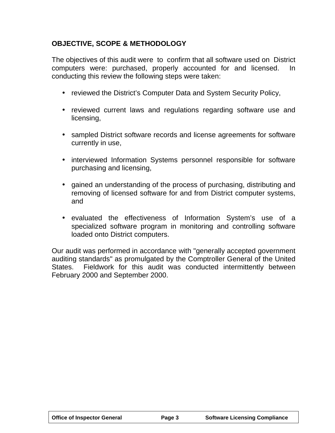### <span id="page-5-0"></span>**OBJECTIVE, SCOPE & METHODOLOGY**

The objectives of this audit were to confirm that all software used on District computers were: purchased, properly accounted for and licensed. In conducting this review the following steps were taken:

- reviewed the District's Computer Data and System Security Policy,
- reviewed current laws and regulations regarding software use and licensing,
- sampled District software records and license agreements for software currently in use,
- interviewed Information Systems personnel responsible for software purchasing and licensing,
- gained an understanding of the process of purchasing, distributing and removing of licensed software for and from District computer systems, and
- evaluated the effectiveness of Information System's use of a specialized software program in monitoring and controlling software loaded onto District computers.

Our audit was performed in accordance with "generally accepted government auditing standards" as promulgated by the Comptroller General of the United States. Fieldwork for this audit was conducted intermittently between February 2000 and September 2000.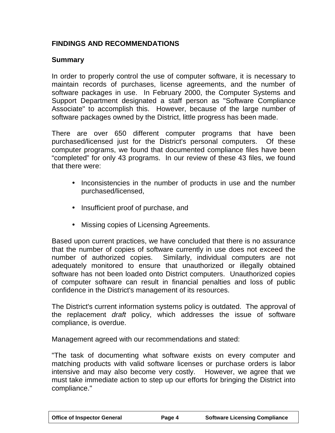### <span id="page-6-0"></span>**FINDINGS AND RECOMMENDATIONS**

#### **Summary**

In order to properly control the use of computer software, it is necessary to maintain records of purchases, license agreements, and the number of software packages in use. In February 2000, the Computer Systems and Support Department designated a staff person as "Software Compliance Associate" to accomplish this. However, because of the large number of software packages owned by the District, little progress has been made.

There are over 650 different computer programs that have been purchased/licensed just for the District's personal computers. Of these computer programs, we found that documented compliance files have been "completed" for only 43 programs. In our review of these 43 files, we found that there were:

- Inconsistencies in the number of products in use and the number purchased/licensed,
- Insufficient proof of purchase, and
- Missing copies of Licensing Agreements.

Based upon current practices, we have concluded that there is no assurance that the number of copies of software currently in use does not exceed the number of authorized copies. Similarly, individual computers are not adequately monitored to ensure that unauthorized or illegally obtained software has not been loaded onto District computers. Unauthorized copies of computer software can result in financial penalties and loss of public confidence in the District's management of its resources.

The District's current information systems policy is outdated. The approval of the replacement *draft* policy, which addresses the issue of software compliance, is overdue.

Management agreed with our recommendations and stated:

"The task of documenting what software exists on every computer and matching products with valid software licenses or purchase orders is labor intensive and may also become very costly. However, we agree that we must take immediate action to step up our efforts for bringing the District into compliance."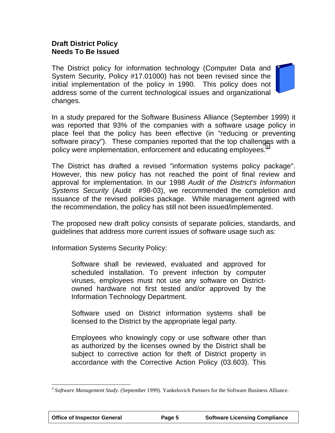#### <span id="page-7-0"></span>**Draft District Policy Needs To Be Issued**

The District policy for information technology (Computer Data and System Security, Policy #17.01000) has not been revised since the initial implementation of the policy in 1990. This policy does not address some of the current technological issues and organizational changes.



In a study prepared for the Software Business Alliance (September 1999) it was reported that 93% of the companies with a software usage policy in place feel that the policy has been effective (in "reducing or preventing software piracy"). These companies reported that the top challenges with a policy were implementation, enforcement and educating employees.<sup>3</sup>

The District has drafted a revised "information systems policy package". However, this new policy has not reached the point of final review and approval for implementation. In our 1998 *Audit of the District's Information Systems Security* (Audit #98-03), we recommended the completion and issuance of the revised policies package. While management agreed with the recommendation, the policy has still not been issued/implemented.

The proposed new draft policy consists of separate policies, standards, and guidelines that address more current issues of software usage such as:

Information Systems Security Policy:

Software shall be reviewed, evaluated and approved for scheduled installation. To prevent infection by computer viruses, employees must not use any software on Districtowned hardware not first tested and/or approved by the Information Technology Department.

Software used on District information systems shall be licensed to the District by the appropriate legal party.

Employees who knowingly copy or use software other than as authorized by the licenses owned by the District shall be subject to corrective action for theft of District property in accordance with the Corrective Action Policy (03.603). This

 $\overline{a}$ 

<sup>3</sup> *Software Management Study*. (September 1999). Yankelovich Partners for the Software Business Alliance.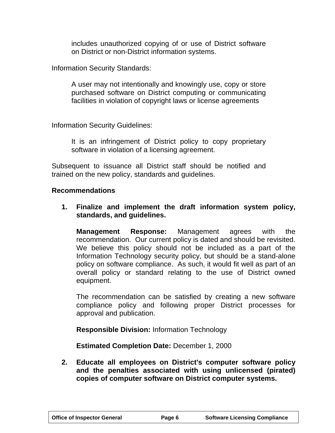includes unauthorized copying of or use of District software on District or non-District information systems.

Information Security Standards:

A user may not intentionally and knowingly use, copy or store purchased software on District computing or communicating facilities in violation of copyright laws or license agreements

Information Security Guidelines:

It is an infringement of District policy to copy proprietary software in violation of a licensing agreement.

Subsequent to issuance all District staff should be notified and trained on the new policy, standards and guidelines.

#### **Recommendations**

**1. Finalize and implement the draft information system policy, standards, and guidelines.**

**Management Response:** Management agrees with the recommendation. Our current policy is dated and should be revisited. We believe this policy should not be included as a part of the Information Technology security policy, but should be a stand-alone policy on software compliance. As such, it would fit well as part of an overall policy or standard relating to the use of District owned equipment.

The recommendation can be satisfied by creating a new software compliance policy and following proper District processes for approval and publication.

**Responsible Division:** Information Technology

**Estimated Completion Date:** December 1, 2000

**2. Educate all employees on District's computer software policy and the penalties associated with using unlicensed (pirated) copies of computer software on District computer systems.**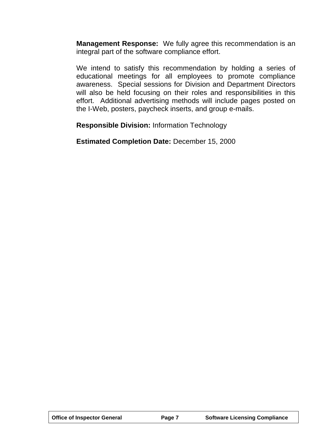**Management Response:** We fully agree this recommendation is an integral part of the software compliance effort.

We intend to satisfy this recommendation by holding a series of educational meetings for all employees to promote compliance awareness. Special sessions for Division and Department Directors will also be held focusing on their roles and responsibilities in this effort. Additional advertising methods will include pages posted on the I-Web, posters, paycheck inserts, and group e-mails.

**Responsible Division:** Information Technology

**Estimated Completion Date:** December 15, 2000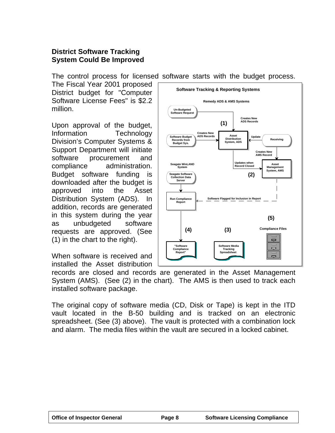#### <span id="page-10-0"></span>**District Software Tracking System Could Be Improved**

The control process for licensed software starts with the budget process.

The Fiscal Year 2001 proposed District budget for "Computer Software License Fees" is \$2.2 million.

Upon approval of the budget, Information Technology Division's Computer Systems & Support Department will initiate software procurement and compliance administration. Budget software funding is downloaded after the budget is approved into the Asset Distribution System (ADS). In addition, records are generated in this system during the year as unbudgeted software requests are approved. (See (1) in the chart to the right).

When software is received and installed the Asset distribution



records are closed and records are generated in the Asset Management System (AMS). (See (2) in the chart). The AMS is then used to track each installed software package.

The original copy of software media (CD, Disk or Tape) is kept in the ITD vault located in the B-50 building and is tracked on an electronic spreadsheet. (See (3) above). The vault is protected with a combination lock and alarm. The media files within the vault are secured in a locked cabinet.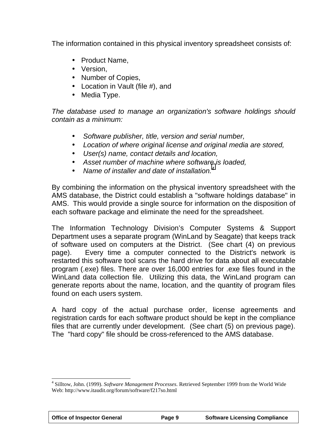The information contained in this physical inventory spreadsheet consists of:

- Product Name,
- Version,
- Number of Copies,
- Location in Vault (file #), and
- Media Type.

*The database used to manage an organization's software holdings should contain as a minimum:*

- *Software publisher, title, version and serial number,*
- *Location of where original license and original media are stored,*
- *User(s) name, contact details and location,*
- *Asset number of machine where software is loaded,*
- • *Name of installer and date of installation.<sup>4</sup>*

By combining the information on the physical inventory spreadsheet with the AMS database, the District could establish a "software holdings database" in AMS. This would provide a single source for information on the disposition of each software package and eliminate the need for the spreadsheet.

The Information Technology Division's Computer Systems & Support Department uses a separate program (WinLand by Seagate) that keeps track of software used on computers at the District. (See chart (4) on previous page). Every time a computer connected to the District's network is restarted this software tool scans the hard drive for data about all executable program (.exe) files. There are over 16,000 entries for .exe files found in the WinLand data collection file. Utilizing this data, the WinLand program can generate reports about the name, location, and the quantity of program files found on each users system.

A hard copy of the actual purchase order, license agreements and registration cards for each software product should be kept in the compliance files that are currently under development. (See chart (5) on previous page). The "hard copy" file should be cross-referenced to the AMS database.

 $\overline{a}$ 4 Silltow, John. (1999). *Software Management Processes*. Retrieved September 1999 from the World Wide Web: http://www.itaudit.org/forum/software/f217so.html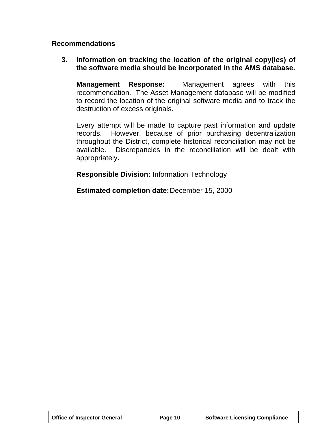#### **Recommendations**

#### **3. Information on tracking the location of the original copy(ies) of the software media should be incorporated in the AMS database.**

**Management Response:** Management agrees with this recommendation. The Asset Management database will be modified to record the location of the original software media and to track the destruction of excess originals.

Every attempt will be made to capture past information and update records. However, because of prior purchasing decentralization throughout the District, complete historical reconciliation may not be available. Discrepancies in the reconciliation will be dealt with appropriately**.**

**Responsible Division:** Information Technology

**Estimated completion date:**December 15, 2000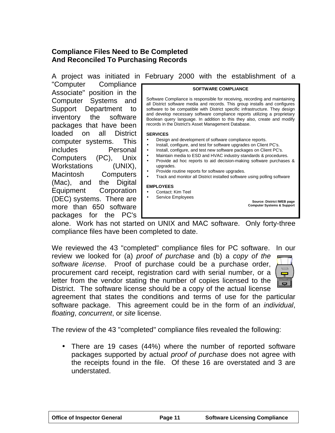#### <span id="page-13-0"></span>**Compliance Files Need to Be Completed And Reconciled To Purchasing Records**

**SOFTWARE COMPLIANCE** Software Compliance is responsible for receiving, recording and maintaining all District software media and records. This group installs and configures software to be compatible with District specific infrastructure. They design and develop necessary software compliance reports utilizing a proprietary Boolean query language. In addition to this they also, create and modify records in the District's Asset Management Database. **SERVICES** • Design and development of software compliance reports. • Install, configure, and test for software upgrades on Client PC's. • Install, configure, and test new software packages on Client PC's. • Maintain media to ESD and HVAC industry standards & procedures. • Provide ad hoc reports to aid decision-making software purchases & upgrades. • Provide routine reports for software upgrades. • Track and monitor all District installed software using polling software **EMPLOYEES** • Contact: Kim Teel Service Employees **Source: District IWEB page Computer Systems & Support** A project was initiated in February 2000 with the establishment of a "Computer Compliance Associate" position in the Computer Systems and Support Department to inventory the software packages that have been loaded on all District computer systems. This includes Personal Computers (PC), Unix Workstations (UNIX), Macintosh Computers (Mac), and the Digital Equipment Corporation (DEC) systems. There are more than 650 software packages for the PC's

alone. Work has not started on UNIX and MAC software. Only forty-three compliance files have been completed to date.

We reviewed the 43 "completed" compliance files for PC software. In our review we looked for (a) *proof of purchase* and (b) a *copy of the software license*. Proof of purchase could be a purchase order, procurement card receipt, registration card with serial number, or a letter from the vendor stating the number of copies licensed to the District. The software license should be a copy of the actual license

agreement that states the conditions and terms of use for the particular software package. This agreement could be in the form of an *individual*, *floating*, *concurrent*, or *site* license.

The review of the 43 "completed" compliance files revealed the following:

• There are 19 cases (44%) where the number of reported software packages supported by actual *proof of purchase* does not agree with the receipts found in the file. Of these 16 are overstated and 3 are understated.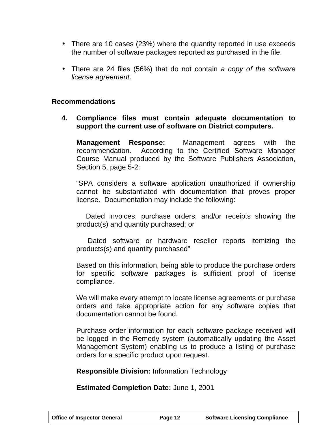- There are 10 cases (23%) where the quantity reported in use exceeds the number of software packages reported as purchased in the file.
- There are 24 files (56%) that do not contain *a copy of the software license agreement*.

#### **Recommendations**

**4. Compliance files must contain adequate documentation to support the current use of software on District computers.**

**Management Response:** Management agrees with the recommendation. According to the Certified Software Manager Course Manual produced by the Software Publishers Association, Section 5, page 5-2:

"SPA considers a software application unauthorized if ownership cannot be substantiated with documentation that proves proper license. Documentation may include the following:

 Dated invoices, purchase orders, and/or receipts showing the product(s) and quantity purchased; or

 Dated software or hardware reseller reports itemizing the products(s) and quantity purchased"

Based on this information, being able to produce the purchase orders for specific software packages is sufficient proof of license compliance.

We will make every attempt to locate license agreements or purchase orders and take appropriate action for any software copies that documentation cannot be found.

Purchase order information for each software package received will be logged in the Remedy system (automatically updating the Asset Management System) enabling us to produce a listing of purchase orders for a specific product upon request.

**Responsible Division:** Information Technology

**Estimated Completion Date:** June 1, 2001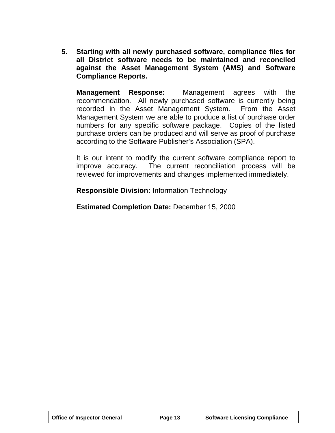**5. Starting with all newly purchased software, compliance files for all District software needs to be maintained and reconciled against the Asset Management System (AMS) and Software Compliance Reports.**

**Management Response:** Management agrees with the recommendation. All newly purchased software is currently being recorded in the Asset Management System. From the Asset Management System we are able to produce a list of purchase order numbers for any specific software package. Copies of the listed purchase orders can be produced and will serve as proof of purchase according to the Software Publisher's Association (SPA).

It is our intent to modify the current software compliance report to improve accuracy. The current reconciliation process will be reviewed for improvements and changes implemented immediately.

**Responsible Division:** Information Technology

**Estimated Completion Date:** December 15, 2000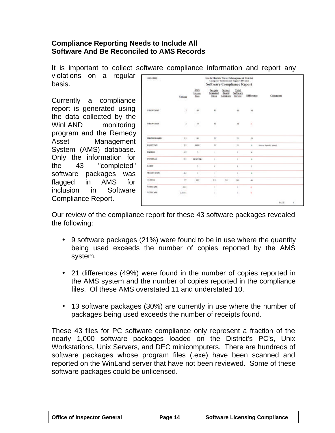#### <span id="page-16-0"></span>**Compliance Reporting Needs to Include All Software And Be Reconciled to AMS Records**

It is important to collect software compliance information and report any

violations on a regular basis.

Currently a compliance report is generated using the data collected by the WinLAND monitoring program and the Remedy Asset Management System (AMS) database. Only the information for the 43 "completed" software packages was flagged in AMS for inclusion in Software Compliance Report.

|                                    | <b>Yester</b><br>-  | AMS<br>License<br><b>Sheka</b> | Seagate<br>Stanned<br>Data | Server<br>Based<br>Licenses | Tetal<br>Software<br>la Use | <b>Difference</b>    | Community            |  |
|------------------------------------|---------------------|--------------------------------|----------------------------|-----------------------------|-----------------------------|----------------------|----------------------|--|
| <b>FIREWORKS</b>                   | ×<br>$\bar{z}$<br>Þ | $+1$<br><b>STATISTICS</b>      | 18.5<br>45<br>÷            |                             | $\lambda$<br>48             | 46                   |                      |  |
| FIREWORKS.                         | x                   | 3.500<br>$-10$<br>œ.           | V.<br>放                    |                             | ÷.<br>3á                    | v<br>а<br>x          |                      |  |
| <b>FRAMEMAKER</b>                  | 35                  | $\overline{a}$                 | $\pi$                      |                             | TI.                         | 焕                    |                      |  |
| <b>RELHTFAX</b>                    | 13                  | <b>SITE</b>                    | 韭                          |                             | $\overline{\mathbf{u}}$     | ٠                    | Server Based License |  |
| EXCEED                             | 63                  | s.                             | ×                          |                             | r.                          | $\ddot{\phantom{1}}$ |                      |  |
| <b>INFORMAY</b>                    | 33                  | NERVER                         | x                          |                             | ×                           | ٠                    |                      |  |
| ٠<br><b>KERST</b>                  |                     | ı.                             | $\ddot{\phantom{a}}$       |                             | ٠                           | ×                    |                      |  |
| <b>MAGNERYAN</b>                   | 4.4                 | k                              | ł                          |                             | ×                           | ٠                    |                      |  |
| <b>STATISTICS</b><br><b>ACCRRS</b> | <b>VT</b>           | 387                            | 1H                         | 34                          | 168                         | Ab.                  |                      |  |
| NETSCAPE                           | 101                 |                                | ï                          |                             | ×                           | a                    |                      |  |
| NEEMCAPE.                          | 2,88,01             |                                | ź.                         |                             | x                           | ä,                   |                      |  |

Our review of the compliance report for these 43 software packages revealed the following:

- 9 software packages (21%) were found to be in use where the quantity being used exceeds the number of copies reported by the AMS system.
- 21 differences (49%) were found in the number of copies reported in the AMS system and the number of copies reported in the compliance files. Of these AMS overstated 11 and understated 10.
- 13 software packages (30%) are currently in use where the number of packages being used exceeds the number of receipts found.

These 43 files for PC software compliance only represent a fraction of the nearly 1,000 software packages loaded on the District's PC's, Unix Workstations, Unix Servers, and DEC minicomputers. There are hundreds of software packages whose program files (.exe) have been scanned and reported on the WinLand server that have not been reviewed. Some of these software packages could be unlicensed.